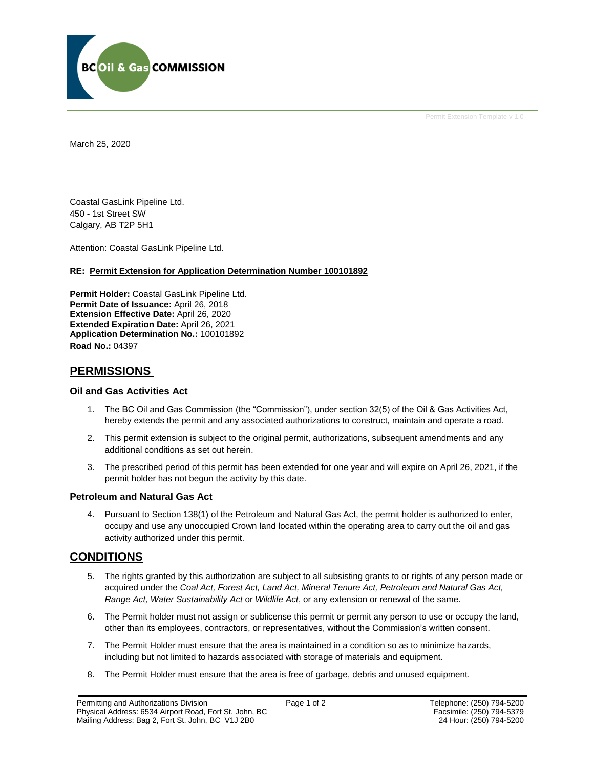

Permit Extension Template v 1.0

March 25, 2020

Coastal GasLink Pipeline Ltd. 450 - 1st Street SW Calgary, AB T2P 5H1

Attention: Coastal GasLink Pipeline Ltd.

#### **RE: Permit Extension for Application Determination Number 100101892**

**Permit Holder:** Coastal GasLink Pipeline Ltd. **Permit Date of Issuance:** April 26, 2018 **Extension Effective Date:** April 26, 2020 **Extended Expiration Date:** April 26, 2021 **Application Determination No.:** 100101892 **Road No.:** 04397

# **PERMISSIONS**

#### **Oil and Gas Activities Act**

- 1. The BC Oil and Gas Commission (the "Commission"), under section 32(5) of the Oil & Gas Activities Act, hereby extends the permit and any associated authorizations to construct, maintain and operate a road.
- 2. This permit extension is subject to the original permit, authorizations, subsequent amendments and any additional conditions as set out herein.
- 3. The prescribed period of this permit has been extended for one year and will expire on April 26, 2021, if the permit holder has not begun the activity by this date.

#### **Petroleum and Natural Gas Act**

4. Pursuant to Section 138(1) of the Petroleum and Natural Gas Act, the permit holder is authorized to enter, occupy and use any unoccupied Crown land located within the operating area to carry out the oil and gas activity authorized under this permit.

# **CONDITIONS**

- 5. The rights granted by this authorization are subject to all subsisting grants to or rights of any person made or acquired under the *Coal Act, Forest Act, Land Act, Mineral Tenure Act, Petroleum and Natural Gas Act, Range Act, Water Sustainability Act* or *Wildlife Act*, or any extension or renewal of the same.
- 6. The Permit holder must not assign or sublicense this permit or permit any person to use or occupy the land, other than its employees, contractors, or representatives, without the Commission's written consent.
- 7. The Permit Holder must ensure that the area is maintained in a condition so as to minimize hazards, including but not limited to hazards associated with storage of materials and equipment.
- 8. The Permit Holder must ensure that the area is free of garbage, debris and unused equipment.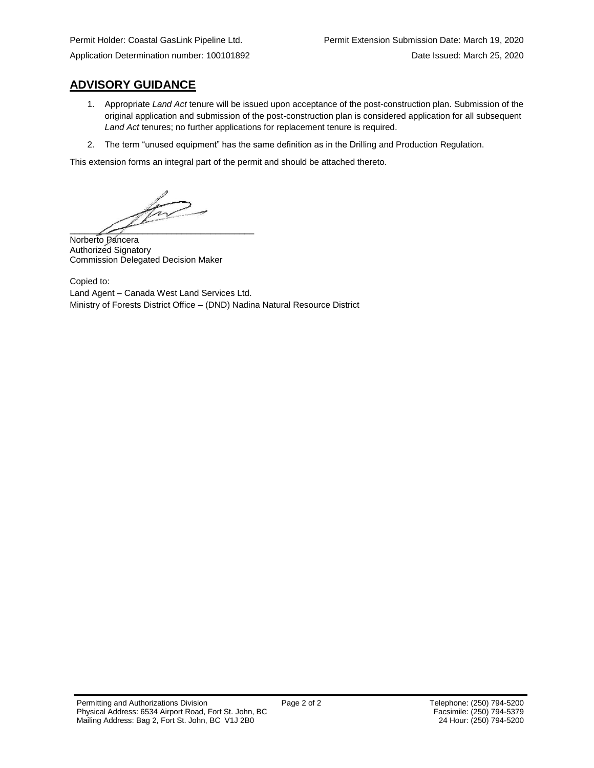# **ADVISORY GUIDANCE**

- 1. Appropriate *Land Act* tenure will be issued upon acceptance of the post-construction plan. Submission of the original application and submission of the post-construction plan is considered application for all subsequent *Land Act* tenures; no further applications for replacement tenure is required.
- 2. The term "unused equipment" has the same definition as in the Drilling and Production Regulation.

This extension forms an integral part of the permit and should be attached thereto.

for - $\overline{\phantom{a}}$ 

Norberto Pancera Authorized Signatory Commission Delegated Decision Maker

Copied to: Land Agent – Canada West Land Services Ltd. Ministry of Forests District Office – (DND) Nadina Natural Resource District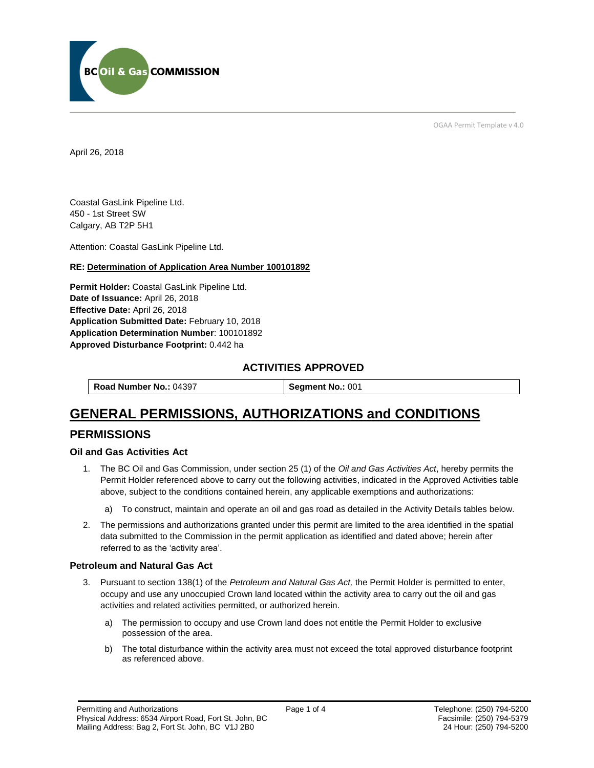

OGAA Permit Template v 4.0

April 26, 2018

Coastal GasLink Pipeline Ltd. 450 - 1st Street SW Calgary, AB T2P 5H1

[Attention:](#page-2-0) Coastal GasLink Pipeline Ltd.

#### **RE: Determination of Application Area Number 100101892**

**[Permit Holder:](#page-2-0)** Coastal GasLink Pipeline Ltd. **[Date of Issuance:](#page-2-0)** April 26, 2018 **[Effective Date:](#page-2-1)** April 26, 2018 **[Application Submitted Date:](#page-2-0)** February 10, 2018 **[Application Determination Number](#page-2-0)**: 100101892 **Approved Disturbance Footprint:** 0.442 ha

# **ACTIVITIES APPROVED**

**[Road Number No.:](#page-2-0) 04397 <b>[Segment No.:](https://bi.bcogc.ca/Application%20Processing/Interactive%20Reports/(BIL-041)%20AMS%20Decision%20Summary.aspx) 001** 

# **GENERAL PERMISSIONS, AUTHORIZATIONS and CONDITIONS**

# **PERMISSIONS**

#### **Oil and Gas Activities Act**

- <span id="page-2-0"></span>1. The BC Oil and Gas Commission, under section 25 (1) of the *Oil and Gas Activities Act*, hereby permits the Permit Holder referenced above to carry out the following activities, indicated in the Approved Activities table above, subject to the conditions contained herein, any applicable exemptions and authorizations:
	- a) To construct, maintain and operate an oil and gas road as detailed in the Activity Details tables below.
- <span id="page-2-1"></span>2. The permissions and authorizations granted under this permit are limited to the area identified in the spatial data submitted to the Commission in the permit application as identified and dated above; herein after referred to as the 'activity area'.

### **Petroleum and Natural Gas Act**

- 3. Pursuant to section 138(1) of the *Petroleum and Natural Gas Act,* the Permit Holder is permitted to enter, occupy and use any unoccupied Crown land located within the activity area to carry out the oil and gas activities and related activities permitted, or authorized herein.
	- a) The permission to occupy and use Crown land does not entitle the Permit Holder to exclusive possession of the area.
	- b) The total disturbance within the activity area must not exceed the total approved disturbance footprint as referenced above.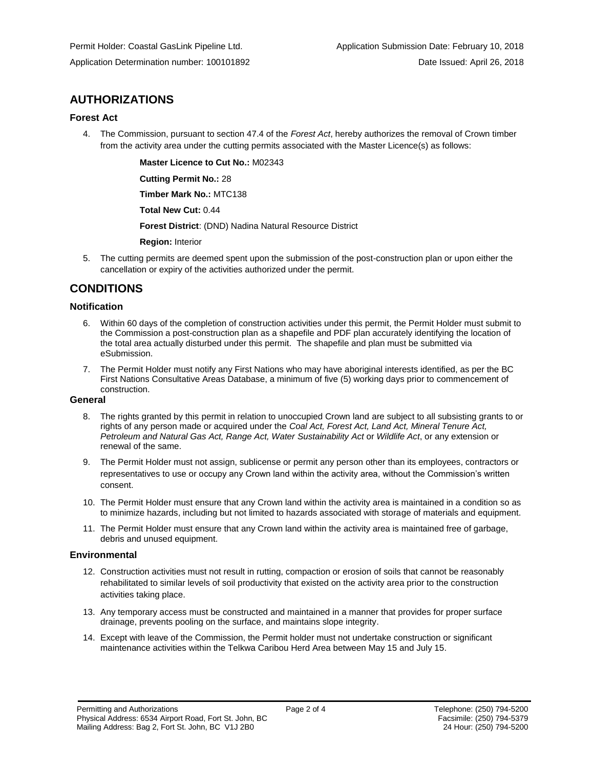# **AUTHORIZATIONS**

## **Forest Act**

4. The Commission, pursuant to section 47.4 of the *Forest Act*, hereby authorizes the removal of Crown timber from the activity area under the cutting permits associated with the Master Licence(s) as follows:

**[Master Licence to Cut No.:](#page-2-0)** M02343

**[Cutting Permit No.:](#page-2-0)** 28

**[Timber Mark No.:](#page-2-0)** MTC138

**[Total New Cut:](#page-2-0)** 0.44

**[Forest District](https://ams-crd.bcogc.ca/crd/)**: (DND) Nadina Natural Resource District

**[Region:](#page-2-1)** Interior

5. The cutting permits are deemed spent upon the submission of the post-construction plan or upon either the cancellation or expiry of the activities authorized under the permit.

# **CONDITIONS**

## **Notification**

- 6. Within 60 days of the completion of construction activities under this permit, the Permit Holder must submit to the Commission a post-construction plan as a shapefile and PDF plan accurately identifying the location of the total area actually disturbed under this permit. The shapefile and plan must be submitted via eSubmission.
- 7. The Permit Holder must notify any First Nations who may have aboriginal interests identified, as per the BC First Nations Consultative Areas Database, a minimum of five (5) working days prior to commencement of construction.

### **General**

- 8. The rights granted by this permit in relation to unoccupied Crown land are subject to all subsisting grants to or rights of any person made or acquired under the *Coal Act, Forest Act, Land Act, Mineral Tenure Act, Petroleum and Natural Gas Act, Range Act, Water Sustainability Act* or *Wildlife Act*, or any extension or renewal of the same.
- 9. The Permit Holder must not assign, sublicense or permit any person other than its employees, contractors or representatives to use or occupy any Crown land within the activity area, without the Commission's written consent.
- 10. The Permit Holder must ensure that any Crown land within the activity area is maintained in a condition so as to minimize hazards, including but not limited to hazards associated with storage of materials and equipment.
- 11. The Permit Holder must ensure that any Crown land within the activity area is maintained free of garbage, debris and unused equipment.

## **Environmental**

- 12. Construction activities must not result in rutting, compaction or erosion of soils that cannot be reasonably rehabilitated to similar levels of soil productivity that existed on the activity area prior to the construction activities taking place.
- 13. Any temporary access must be constructed and maintained in a manner that provides for proper surface drainage, prevents pooling on the surface, and maintains slope integrity.
- 14. Except with leave of the Commission, the Permit holder must not undertake construction or significant maintenance activities within the Telkwa Caribou Herd Area between May 15 and July 15.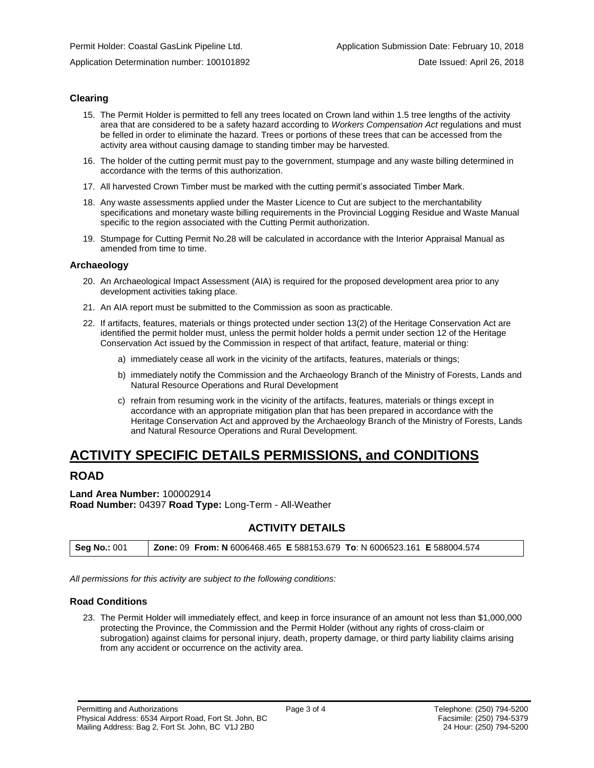### **Clearing**

- 15. The Permit Holder is permitted to fell any trees located on Crown land within 1.5 tree lengths of the activity area that are considered to be a safety hazard according to *Workers Compensation Act* regulations and must be felled in order to eliminate the hazard. Trees or portions of these trees that can be accessed from the activity area without causing damage to standing timber may be harvested.
- 16. The holder of the cutting permit must pay to the government, stumpage and any waste billing determined in accordance with the terms of this authorization.
- 17. All harvested Crown Timber must be marked with the cutting permit's associated Timber Mark.
- 18. Any waste assessments applied under the Master Licence to Cut are subject to the merchantability specifications and monetary waste billing requirements in the Provincial Logging Residue and Waste Manual specific to the region associated with the Cutting Permit authorization.
- 19. Stumpage for Cutting Permit No.28 will be calculated in accordance with the Interior Appraisal Manual as amended from time to time.

#### **Archaeology**

- 20. An Archaeological Impact Assessment (AIA) is required for the proposed development area prior to any development activities taking place.
- 21. An AIA report must be submitted to the Commission as soon as practicable.
- 22. If artifacts, features, materials or things protected under section 13(2) of the Heritage Conservation Act are identified the permit holder must, unless the permit holder holds a permit under section 12 of the Heritage Conservation Act issued by the Commission in respect of that artifact, feature, material or thing:
	- a) immediately cease all work in the vicinity of the artifacts, features, materials or things;
	- b) immediately notify the Commission and the Archaeology Branch of the Ministry of Forests, Lands and Natural Resource Operations and Rural Development
	- c) refrain from resuming work in the vicinity of the artifacts, features, materials or things except in accordance with an appropriate mitigation plan that has been prepared in accordance with the Heritage Conservation Act and approved by the Archaeology Branch of the Ministry of Forests, Lands and Natural Resource Operations and Rural Development.

# **ACTIVITY SPECIFIC DETAILS PERMISSIONS, and CONDITIONS**

# **ROAD**

**Land Area Number:** 100002914 **Road Number:** 04397 **Road Type:** Long-Term - All-Weather

# **ACTIVITY DETAILS**

| Seg No.: 001 |  | Zone: 09 From: N 6006468.465 E 588153.679 To: N 6006523.161 E 588004.574 |
|--------------|--|--------------------------------------------------------------------------|
|--------------|--|--------------------------------------------------------------------------|

*All permissions for this activity are subject to the following conditions:*

#### **Road Conditions**

23. The Permit Holder will immediately effect, and keep in force insurance of an amount not less than \$1,000,000 protecting the Province, the Commission and the Permit Holder (without any rights of cross-claim or subrogation) against claims for personal injury, death, property damage, or third party liability claims arising from any accident or occurrence on the activity area.